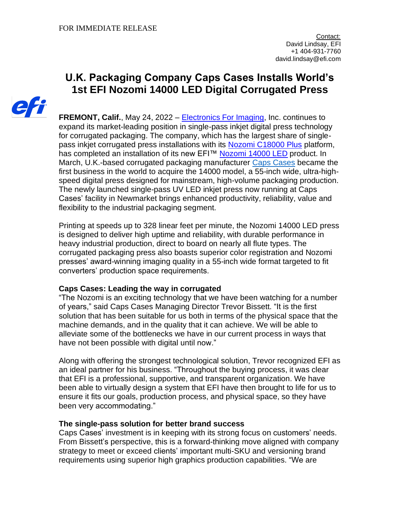# **U.K. Packaging Company Caps Cases Installs World's 1st EFI Nozomi 14000 LED Digital Corrugated Press**



**FREMONT, Calif.**, May 24, 2022 – [Electronics For Imaging,](http://www.efi.com/) Inc. continues to expand its market-leading position in single-pass inkjet digital press technology for corrugated packaging. The company, which has the largest share of single-pass inkiet corrugated press installations with its [Nozomi C18000 Plus](https://www.efi.com/products/inkjet-printing-and-proofing/nozomi-single-pass-printer-for-corrugated/efi-nozomi-c18000/overview/?utm_source=press_release&utm_medium=email&utm_campaign=caps_cases_nozomi) platform, has completed an installation of its new EFI™ [Nozomi 14000 LED](https://www.efi.com/products/inkjet-printing-and-proofing/nozomi-single-pass-printer-for-corrugated/efi-nozomi-14000-led/overview/?utm_source=press_release&utm_medium=email&utm_campaign=caps_cases_nozomi) product. In March, U.K.-based corrugated packaging manufacturer [Caps Cases](https://capscases.co.uk/) became the first business in the world to acquire the 14000 model, a 55-inch wide, ultra-highspeed digital press designed for mainstream, high-volume packaging production. The newly launched single-pass UV LED inkjet press now running at Caps Cases' facility in Newmarket brings enhanced productivity, reliability, value and flexibility to the industrial packaging segment.

Printing at speeds up to 328 linear feet per minute, the Nozomi 14000 LED press is designed to deliver high uptime and reliability, with durable performance in heavy industrial production, direct to board on nearly all flute types. The corrugated packaging press also boasts superior color registration and Nozomi presses' award-winning imaging quality in a 55-inch wide format targeted to fit converters' production space requirements.

# **Caps Cases: Leading the way in corrugated**

"The Nozomi is an exciting technology that we have been watching for a number of years," said Caps Cases Managing Director Trevor Bissett. "It is the first solution that has been suitable for us both in terms of the physical space that the machine demands, and in the quality that it can achieve. We will be able to alleviate some of the bottlenecks we have in our current process in ways that have not been possible with digital until now."

Along with offering the strongest technological solution, Trevor recognized EFI as an ideal partner for his business. "Throughout the buying process, it was clear that EFI is a professional, supportive, and transparent organization. We have been able to virtually design a system that EFI have then brought to life for us to ensure it fits our goals, production process, and physical space, so they have been very accommodating."

# **The single-pass solution for better brand success**

Caps Cases' investment is in keeping with its strong focus on customers' needs. From Bissett's perspective, this is a forward-thinking move aligned with company strategy to meet or exceed clients' important multi-SKU and versioning brand requirements using superior high graphics production capabilities. "We are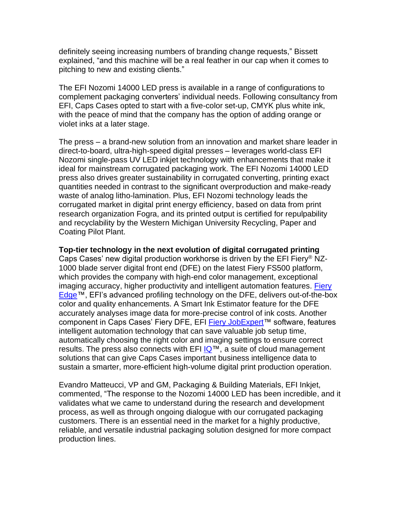definitely seeing increasing numbers of branding change requests," Bissett explained, "and this machine will be a real feather in our cap when it comes to pitching to new and existing clients."

The EFI Nozomi 14000 LED press is available in a range of configurations to complement packaging converters' individual needs. Following consultancy from EFI, Caps Cases opted to start with a five-color set-up, CMYK plus white ink, with the peace of mind that the company has the option of adding orange or violet inks at a later stage.

The press – a brand-new solution from an innovation and market share leader in direct-to-board, ultra-high-speed digital presses – leverages world-class EFI Nozomi single-pass UV LED inkjet technology with enhancements that make it ideal for mainstream corrugated packaging work. The EFI Nozomi 14000 LED press also drives greater sustainability in corrugated converting, printing exact quantities needed in contrast to the significant overproduction and make-ready waste of analog litho-lamination. Plus, EFI Nozomi technology leads the corrugated market in digital print energy efficiency, based on data from print research organization Fogra, and its printed output is certified for repulpability and recyclability by the Western Michigan University Recycling, Paper and Coating Pilot Plant.

### **Top-tier technology in the next evolution of digital corrugated printing**

Caps Cases' new digital production workhorse is driven by the EFI Fiery® NZ-1000 blade server digital front end (DFE) on the latest Fiery FS500 platform, which provides the company with high-end color management, exceptional imaging accuracy, higher productivity and intelligent automation features. Fiery [Edge™](https://www.efi.com/marketing/fiery-servers-and-software/products/fiery-edge/?utm_source=press_release&utm_medium=email&utm_campaign=caps_cases_nozomi), EFI's advanced profiling technology on the DFE, delivers out-of-the-box color and quality enhancements. A Smart Ink Estimator feature for the DFE accurately analyses image data for more-precise control of ink costs. Another component in Caps Cases' Fiery DFE, EFI [Fiery JobExpert™](https://www.efi.com/products/fiery-servers-and-software/fiery-command-workstation/fiery-jobexpert/overview/?utm_source=press_release&utm_medium=email&utm_campaign=caps_cases_nozomi) software, features intelligent automation technology that can save valuable job setup time, automatically choosing the right color and imaging settings to ensure correct results. The press also connects with EFI [IQ™](https://iq.efi.com/iq/?utm_source=press_release&utm_medium=email&utm_campaign=caps_cases_nozomi#/), a suite of cloud management solutions that can give Caps Cases important business intelligence data to sustain a smarter, more-efficient high-volume digital print production operation.

Evandro Matteucci, VP and GM, Packaging & Building Materials, EFI Inkjet, commented, "The response to the Nozomi 14000 LED has been incredible, and it validates what we came to understand during the research and development process, as well as through ongoing dialogue with our corrugated packaging customers. There is an essential need in the market for a highly productive, reliable, and versatile industrial packaging solution designed for more compact production lines.